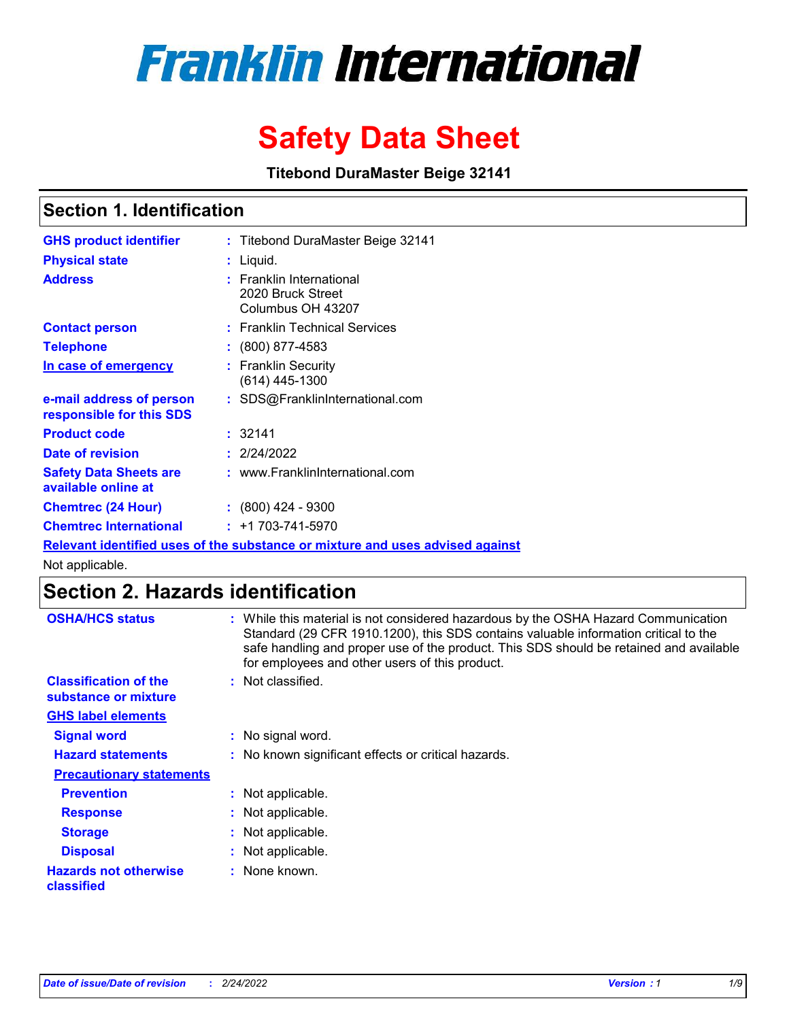# **Franklin International**

# **Safety Data Sheet**

**Titebond DuraMaster Beige 32141**

# **Section 1. Identification**

| <b>GHS product identifier</b>                        | : Titebond DuraMaster Beige 32141                                             |
|------------------------------------------------------|-------------------------------------------------------------------------------|
| <b>Physical state</b>                                | $:$ Liquid.                                                                   |
| <b>Address</b>                                       | : Franklin International<br>2020 Bruck Street<br>Columbus OH 43207            |
| <b>Contact person</b>                                | : Franklin Technical Services                                                 |
| <b>Telephone</b>                                     | $\div$ (800) 877-4583                                                         |
| In case of emergency                                 | : Franklin Security<br>(614) 445-1300                                         |
| e-mail address of person<br>responsible for this SDS | : SDS@FranklinInternational.com                                               |
| <b>Product code</b>                                  | : 32141                                                                       |
| Date of revision                                     | : 2/24/2022                                                                   |
| <b>Safety Data Sheets are</b><br>available online at | : www.FranklinInternational.com                                               |
| <b>Chemtrec (24 Hour)</b>                            | $: (800)$ 424 - 9300                                                          |
| <b>Chemtrec International</b>                        | $: +1703 - 741 - 5970$                                                        |
|                                                      | Relevant identified uses of the substance or mixture and uses advised against |

Not applicable.

# **Section 2. Hazards identification**

| <b>OSHA/HCS status</b>                               | : While this material is not considered hazardous by the OSHA Hazard Communication<br>Standard (29 CFR 1910.1200), this SDS contains valuable information critical to the<br>safe handling and proper use of the product. This SDS should be retained and available<br>for employees and other users of this product. |
|------------------------------------------------------|-----------------------------------------------------------------------------------------------------------------------------------------------------------------------------------------------------------------------------------------------------------------------------------------------------------------------|
| <b>Classification of the</b><br>substance or mixture | : Not classified.                                                                                                                                                                                                                                                                                                     |
| <b>GHS label elements</b>                            |                                                                                                                                                                                                                                                                                                                       |
| <b>Signal word</b>                                   | : No signal word.                                                                                                                                                                                                                                                                                                     |
| <b>Hazard statements</b>                             | : No known significant effects or critical hazards.                                                                                                                                                                                                                                                                   |
| <b>Precautionary statements</b>                      |                                                                                                                                                                                                                                                                                                                       |
| <b>Prevention</b>                                    | : Not applicable.                                                                                                                                                                                                                                                                                                     |
| <b>Response</b>                                      | : Not applicable.                                                                                                                                                                                                                                                                                                     |
| <b>Storage</b>                                       | : Not applicable.                                                                                                                                                                                                                                                                                                     |
| <b>Disposal</b>                                      | : Not applicable.                                                                                                                                                                                                                                                                                                     |
| <b>Hazards not otherwise</b><br>classified           | : None known.                                                                                                                                                                                                                                                                                                         |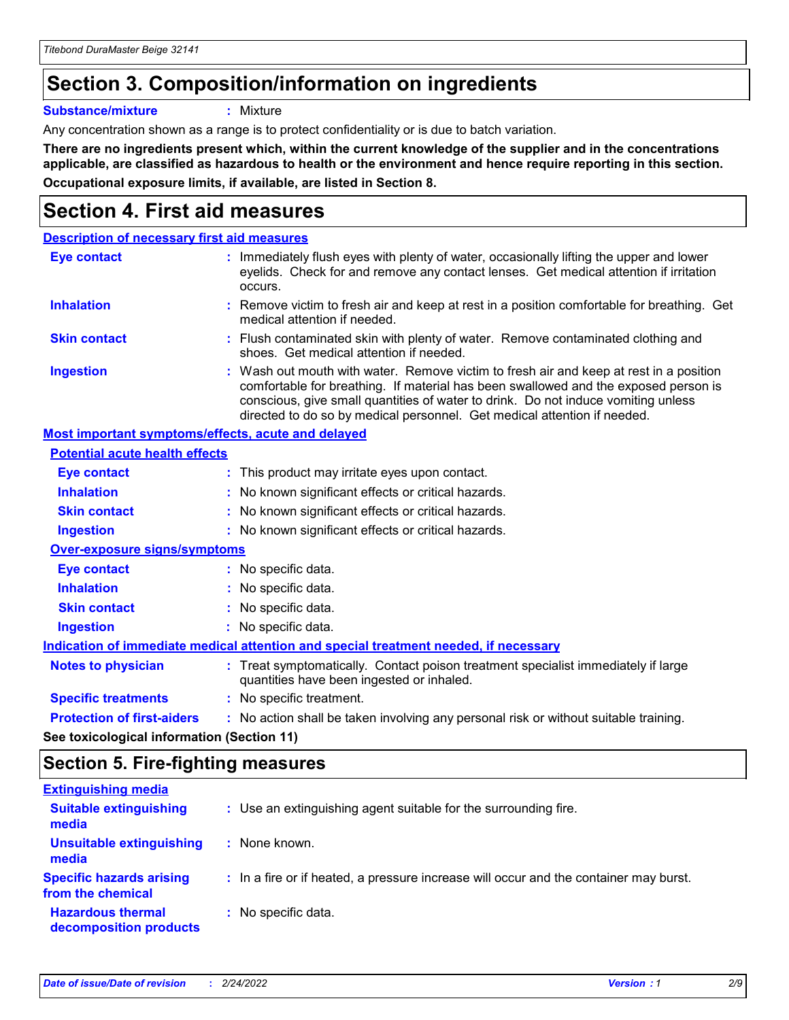# **Section 3. Composition/information on ingredients**

**Substance/mixture :** Mixture

Any concentration shown as a range is to protect confidentiality or is due to batch variation.

**There are no ingredients present which, within the current knowledge of the supplier and in the concentrations applicable, are classified as hazardous to health or the environment and hence require reporting in this section. Occupational exposure limits, if available, are listed in Section 8.**

# **Section 4. First aid measures**

| <b>Description of necessary first aid measures</b> |                                                                                                                                                                                                                                                                                                                                                |
|----------------------------------------------------|------------------------------------------------------------------------------------------------------------------------------------------------------------------------------------------------------------------------------------------------------------------------------------------------------------------------------------------------|
| <b>Eye contact</b>                                 | : Immediately flush eyes with plenty of water, occasionally lifting the upper and lower<br>eyelids. Check for and remove any contact lenses. Get medical attention if irritation<br>occurs.                                                                                                                                                    |
| <b>Inhalation</b>                                  | : Remove victim to fresh air and keep at rest in a position comfortable for breathing. Get<br>medical attention if needed.                                                                                                                                                                                                                     |
| <b>Skin contact</b>                                | : Flush contaminated skin with plenty of water. Remove contaminated clothing and<br>shoes. Get medical attention if needed.                                                                                                                                                                                                                    |
| <b>Ingestion</b>                                   | : Wash out mouth with water. Remove victim to fresh air and keep at rest in a position<br>comfortable for breathing. If material has been swallowed and the exposed person is<br>conscious, give small quantities of water to drink. Do not induce vomiting unless<br>directed to do so by medical personnel. Get medical attention if needed. |
| Most important symptoms/effects, acute and delayed |                                                                                                                                                                                                                                                                                                                                                |
| <b>Potential acute health effects</b>              |                                                                                                                                                                                                                                                                                                                                                |
| Eye contact                                        | : This product may irritate eyes upon contact.                                                                                                                                                                                                                                                                                                 |
| <b>Inhalation</b>                                  | : No known significant effects or critical hazards.                                                                                                                                                                                                                                                                                            |
| <b>Skin contact</b>                                | : No known significant effects or critical hazards.                                                                                                                                                                                                                                                                                            |
| <b>Ingestion</b>                                   | : No known significant effects or critical hazards.                                                                                                                                                                                                                                                                                            |
| <b>Over-exposure signs/symptoms</b>                |                                                                                                                                                                                                                                                                                                                                                |
| <b>Eye contact</b>                                 | : No specific data.                                                                                                                                                                                                                                                                                                                            |
| <b>Inhalation</b>                                  | : No specific data.                                                                                                                                                                                                                                                                                                                            |
| <b>Skin contact</b>                                | : No specific data.                                                                                                                                                                                                                                                                                                                            |
| <b>Ingestion</b>                                   | : No specific data.                                                                                                                                                                                                                                                                                                                            |
|                                                    | Indication of immediate medical attention and special treatment needed, if necessary                                                                                                                                                                                                                                                           |
| <b>Notes to physician</b>                          | : Treat symptomatically. Contact poison treatment specialist immediately if large<br>quantities have been ingested or inhaled.                                                                                                                                                                                                                 |
| <b>Specific treatments</b>                         | : No specific treatment.                                                                                                                                                                                                                                                                                                                       |
| <b>Protection of first-aiders</b>                  | : No action shall be taken involving any personal risk or without suitable training.                                                                                                                                                                                                                                                           |
|                                                    |                                                                                                                                                                                                                                                                                                                                                |

**See toxicological information (Section 11)**

### **Section 5. Fire-fighting measures**

| <b>Extinguishing media</b>                           |                                                                                       |
|------------------------------------------------------|---------------------------------------------------------------------------------------|
| <b>Suitable extinguishing</b><br>media               | : Use an extinguishing agent suitable for the surrounding fire.                       |
| <b>Unsuitable extinguishing</b><br>media             | : None known.                                                                         |
| <b>Specific hazards arising</b><br>from the chemical | : In a fire or if heated, a pressure increase will occur and the container may burst. |
| <b>Hazardous thermal</b><br>decomposition products   | : No specific data.                                                                   |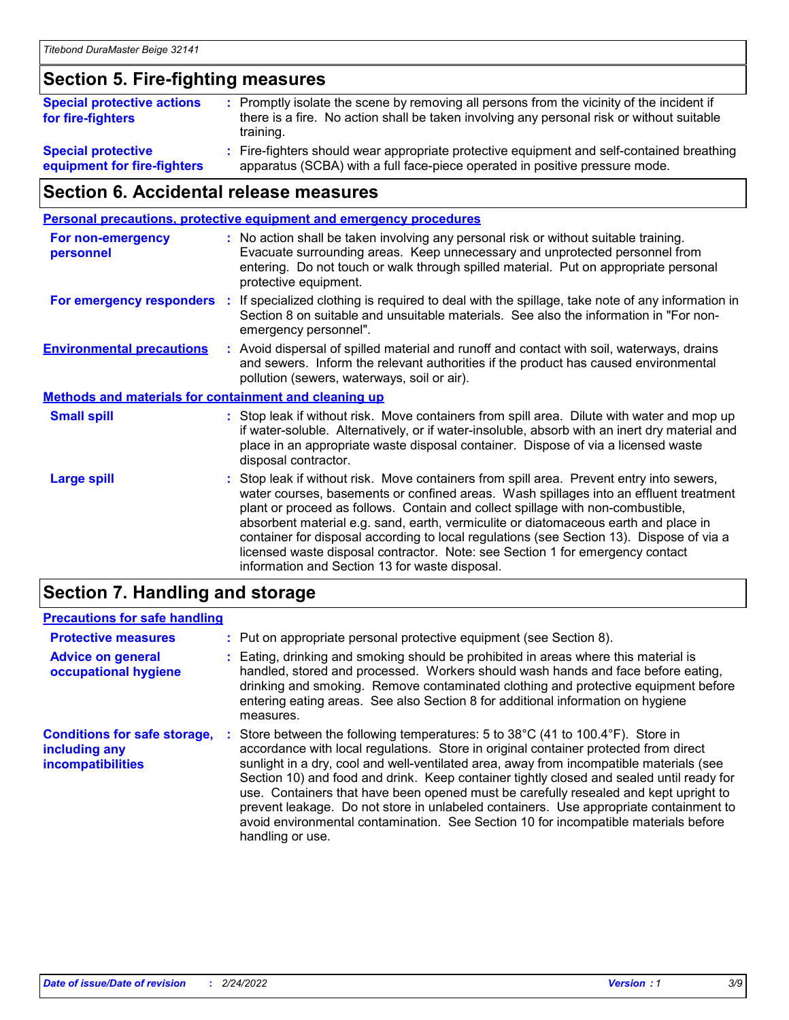### **Section 5. Fire-fighting measures**

| <b>Special protective actions</b><br>for fire-fighters   | : Promptly isolate the scene by removing all persons from the vicinity of the incident if<br>there is a fire. No action shall be taken involving any personal risk or without suitable<br>training. |
|----------------------------------------------------------|-----------------------------------------------------------------------------------------------------------------------------------------------------------------------------------------------------|
| <b>Special protective</b><br>equipment for fire-fighters | Fire-fighters should wear appropriate protective equipment and self-contained breathing<br>apparatus (SCBA) with a full face-piece operated in positive pressure mode.                              |

# **Section 6. Accidental release measures**

| <b>Personal precautions, protective equipment and emergency procedures</b> |  |                                                                                                                                                                                                                                                                                                                                                                                                                                                                                                                                                                                            |
|----------------------------------------------------------------------------|--|--------------------------------------------------------------------------------------------------------------------------------------------------------------------------------------------------------------------------------------------------------------------------------------------------------------------------------------------------------------------------------------------------------------------------------------------------------------------------------------------------------------------------------------------------------------------------------------------|
| <b>For non-emergency</b><br>personnel                                      |  | : No action shall be taken involving any personal risk or without suitable training.<br>Evacuate surrounding areas. Keep unnecessary and unprotected personnel from<br>entering. Do not touch or walk through spilled material. Put on appropriate personal<br>protective equipment.                                                                                                                                                                                                                                                                                                       |
| For emergency responders                                                   |  | : If specialized clothing is required to deal with the spillage, take note of any information in<br>Section 8 on suitable and unsuitable materials. See also the information in "For non-<br>emergency personnel".                                                                                                                                                                                                                                                                                                                                                                         |
| <b>Environmental precautions</b>                                           |  | : Avoid dispersal of spilled material and runoff and contact with soil, waterways, drains<br>and sewers. Inform the relevant authorities if the product has caused environmental<br>pollution (sewers, waterways, soil or air).                                                                                                                                                                                                                                                                                                                                                            |
| <b>Methods and materials for containment and cleaning up</b>               |  |                                                                                                                                                                                                                                                                                                                                                                                                                                                                                                                                                                                            |
| <b>Small spill</b>                                                         |  | : Stop leak if without risk. Move containers from spill area. Dilute with water and mop up<br>if water-soluble. Alternatively, or if water-insoluble, absorb with an inert dry material and<br>place in an appropriate waste disposal container. Dispose of via a licensed waste<br>disposal contractor.                                                                                                                                                                                                                                                                                   |
| <b>Large spill</b>                                                         |  | : Stop leak if without risk. Move containers from spill area. Prevent entry into sewers,<br>water courses, basements or confined areas. Wash spillages into an effluent treatment<br>plant or proceed as follows. Contain and collect spillage with non-combustible,<br>absorbent material e.g. sand, earth, vermiculite or diatomaceous earth and place in<br>container for disposal according to local regulations (see Section 13). Dispose of via a<br>licensed waste disposal contractor. Note: see Section 1 for emergency contact<br>information and Section 13 for waste disposal. |
|                                                                            |  |                                                                                                                                                                                                                                                                                                                                                                                                                                                                                                                                                                                            |

### **Section 7. Handling and storage**

#### **Precautions for safe handling**

| <b>Protective measures</b>                                                | : Put on appropriate personal protective equipment (see Section 8).                                                                                                                                                                                                                                                                                                                                                                                                                                                                                                                                                                                      |
|---------------------------------------------------------------------------|----------------------------------------------------------------------------------------------------------------------------------------------------------------------------------------------------------------------------------------------------------------------------------------------------------------------------------------------------------------------------------------------------------------------------------------------------------------------------------------------------------------------------------------------------------------------------------------------------------------------------------------------------------|
| <b>Advice on general</b><br>occupational hygiene                          | : Eating, drinking and smoking should be prohibited in areas where this material is<br>handled, stored and processed. Workers should wash hands and face before eating,<br>drinking and smoking. Remove contaminated clothing and protective equipment before<br>entering eating areas. See also Section 8 for additional information on hygiene<br>measures.                                                                                                                                                                                                                                                                                            |
| <b>Conditions for safe storage,</b><br>including any<br>incompatibilities | Store between the following temperatures: 5 to 38°C (41 to 100.4°F). Store in<br>accordance with local regulations. Store in original container protected from direct<br>sunlight in a dry, cool and well-ventilated area, away from incompatible materials (see<br>Section 10) and food and drink. Keep container tightly closed and sealed until ready for<br>use. Containers that have been opened must be carefully resealed and kept upright to<br>prevent leakage. Do not store in unlabeled containers. Use appropriate containment to<br>avoid environmental contamination. See Section 10 for incompatible materials before<br>handling or use. |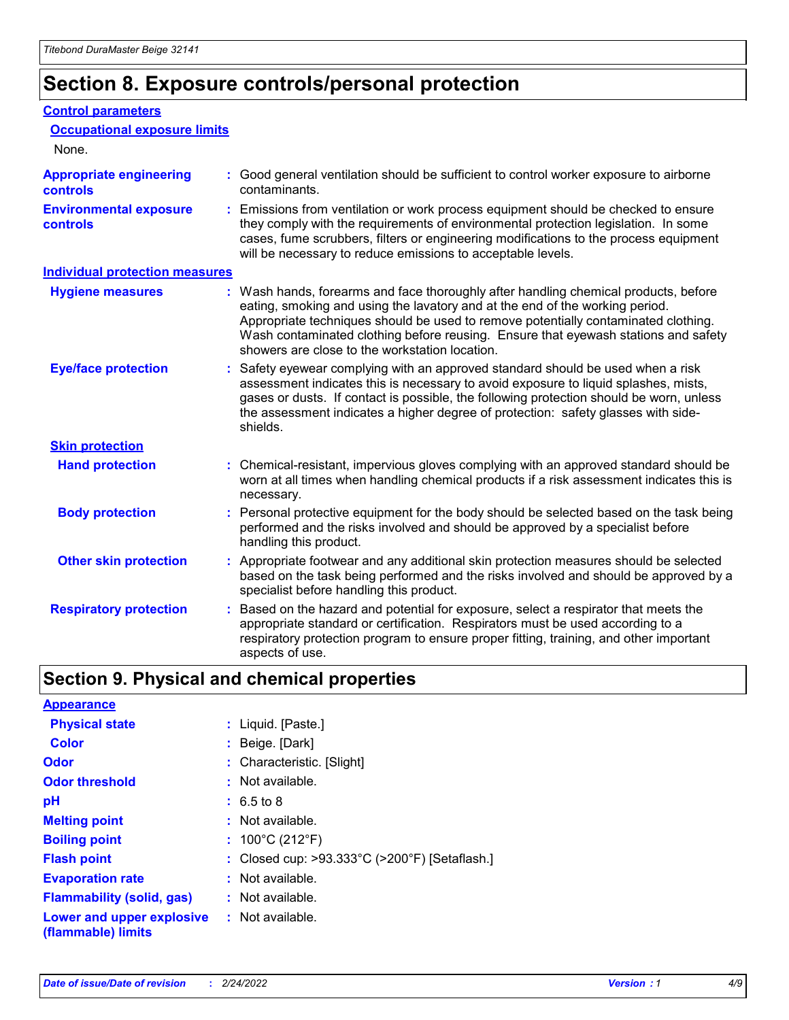# **Section 8. Exposure controls/personal protection**

#### **Control parameters**

| <b>Occupational exposure limits</b>               |                                                                                                                                                                                                                                                                                                                                                                                                   |
|---------------------------------------------------|---------------------------------------------------------------------------------------------------------------------------------------------------------------------------------------------------------------------------------------------------------------------------------------------------------------------------------------------------------------------------------------------------|
| None.                                             |                                                                                                                                                                                                                                                                                                                                                                                                   |
| <b>Appropriate engineering</b><br><b>controls</b> | : Good general ventilation should be sufficient to control worker exposure to airborne<br>contaminants.                                                                                                                                                                                                                                                                                           |
| <b>Environmental exposure</b><br><b>controls</b>  | : Emissions from ventilation or work process equipment should be checked to ensure<br>they comply with the requirements of environmental protection legislation. In some<br>cases, fume scrubbers, filters or engineering modifications to the process equipment<br>will be necessary to reduce emissions to acceptable levels.                                                                   |
| <b>Individual protection measures</b>             |                                                                                                                                                                                                                                                                                                                                                                                                   |
| <b>Hygiene measures</b>                           | : Wash hands, forearms and face thoroughly after handling chemical products, before<br>eating, smoking and using the lavatory and at the end of the working period.<br>Appropriate techniques should be used to remove potentially contaminated clothing.<br>Wash contaminated clothing before reusing. Ensure that eyewash stations and safety<br>showers are close to the workstation location. |
| <b>Eye/face protection</b>                        | : Safety eyewear complying with an approved standard should be used when a risk<br>assessment indicates this is necessary to avoid exposure to liquid splashes, mists,<br>gases or dusts. If contact is possible, the following protection should be worn, unless<br>the assessment indicates a higher degree of protection: safety glasses with side-<br>shields.                                |
| <b>Skin protection</b>                            |                                                                                                                                                                                                                                                                                                                                                                                                   |
| <b>Hand protection</b>                            | : Chemical-resistant, impervious gloves complying with an approved standard should be<br>worn at all times when handling chemical products if a risk assessment indicates this is<br>necessary.                                                                                                                                                                                                   |
| <b>Body protection</b>                            | : Personal protective equipment for the body should be selected based on the task being<br>performed and the risks involved and should be approved by a specialist before<br>handling this product.                                                                                                                                                                                               |
| <b>Other skin protection</b>                      | : Appropriate footwear and any additional skin protection measures should be selected<br>based on the task being performed and the risks involved and should be approved by a<br>specialist before handling this product.                                                                                                                                                                         |
| <b>Respiratory protection</b>                     | : Based on the hazard and potential for exposure, select a respirator that meets the<br>appropriate standard or certification. Respirators must be used according to a<br>respiratory protection program to ensure proper fitting, training, and other important<br>aspects of use.                                                                                                               |

# **Section 9. Physical and chemical properties**

| <b>Appearance</b>                                                       |                                               |
|-------------------------------------------------------------------------|-----------------------------------------------|
| <b>Physical state</b>                                                   | : Liquid. [Paste.]                            |
| <b>Color</b>                                                            | : Beige. [Dark]                               |
| <b>Odor</b>                                                             | : Characteristic. [Slight]                    |
| <b>Odor threshold</b>                                                   | $:$ Not available.                            |
| рH                                                                      | $: 6.5 \text{ to } 8$                         |
| <b>Melting point</b>                                                    | $:$ Not available.                            |
| <b>Boiling point</b>                                                    | : $100^{\circ}$ C (212 $^{\circ}$ F)          |
| <b>Flash point</b>                                                      | : Closed cup: >93.333°C (>200°F) [Setaflash.] |
| <b>Evaporation rate</b>                                                 | $:$ Not available.                            |
| <b>Flammability (solid, gas)</b>                                        | $:$ Not available.                            |
| <b>Lower and upper explosive : Not available.</b><br>(flammable) limits |                                               |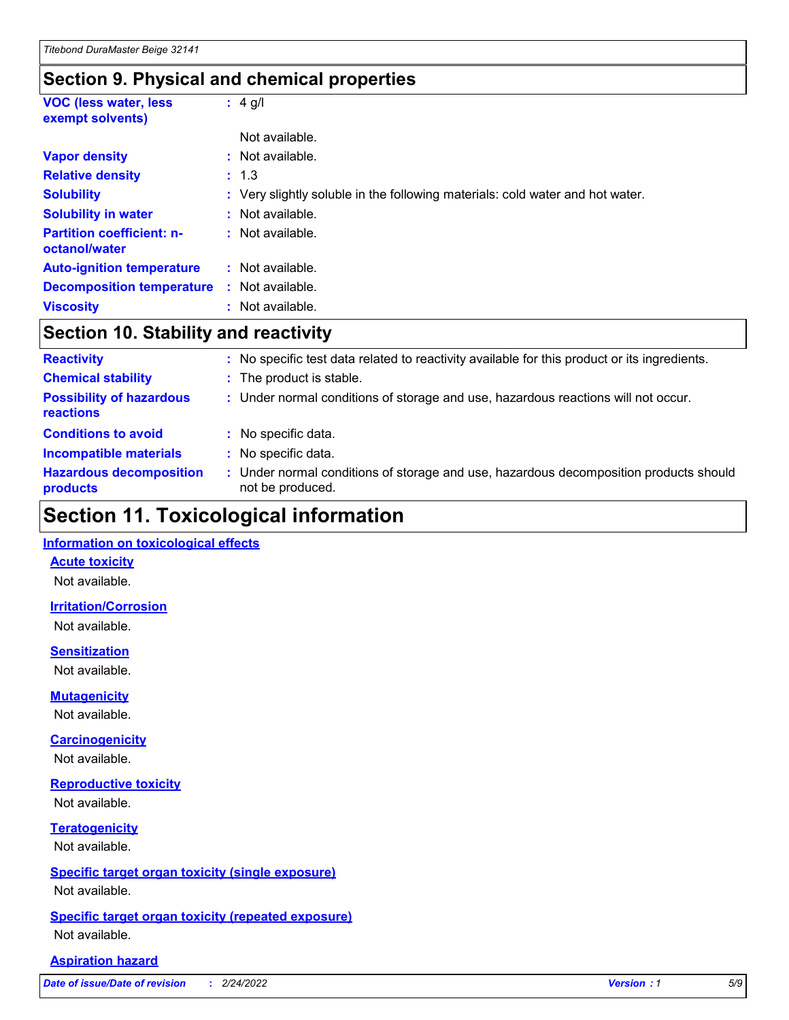### **Section 9. Physical and chemical properties**

| <b>VOC (less water, less)</b><br>exempt solvents) | $: 4$ g/l                                                                     |
|---------------------------------------------------|-------------------------------------------------------------------------------|
|                                                   | Not available.                                                                |
| <b>Vapor density</b>                              | : Not available.                                                              |
| <b>Relative density</b>                           | : 1.3                                                                         |
| <b>Solubility</b>                                 | : Very slightly soluble in the following materials: cold water and hot water. |
| <b>Solubility in water</b>                        | : Not available.                                                              |
| <b>Partition coefficient: n-</b><br>octanol/water | : Not available.                                                              |
| <b>Auto-ignition temperature</b>                  | : Not available.                                                              |
| <b>Decomposition temperature</b>                  | : Not available.                                                              |
| <b>Viscosity</b>                                  | : Not available.                                                              |

# **Section 10. Stability and reactivity**

| <b>Reactivity</b>                            | : No specific test data related to reactivity available for this product or its ingredients.              |
|----------------------------------------------|-----------------------------------------------------------------------------------------------------------|
| <b>Chemical stability</b>                    | : The product is stable.                                                                                  |
| <b>Possibility of hazardous</b><br>reactions | : Under normal conditions of storage and use, hazardous reactions will not occur.                         |
| <b>Conditions to avoid</b>                   | : No specific data.                                                                                       |
| <b>Incompatible materials</b>                | : No specific data.                                                                                       |
| <b>Hazardous decomposition</b><br>products   | : Under normal conditions of storage and use, hazardous decomposition products should<br>not be produced. |

# **Section 11. Toxicological information**

#### **Information on toxicological effects**

#### **Acute toxicity**

Not available.

#### **Irritation/Corrosion**

Not available.

#### **Sensitization**

Not available.

#### **Mutagenicity**

Not available.

#### **Carcinogenicity**

Not available.

#### **Reproductive toxicity**

Not available.

### **Teratogenicity**

Not available.

#### **Specific target organ toxicity (single exposure)**

Not available.

#### **Specific target organ toxicity (repeated exposure)** Not available.

#### **Aspiration hazard**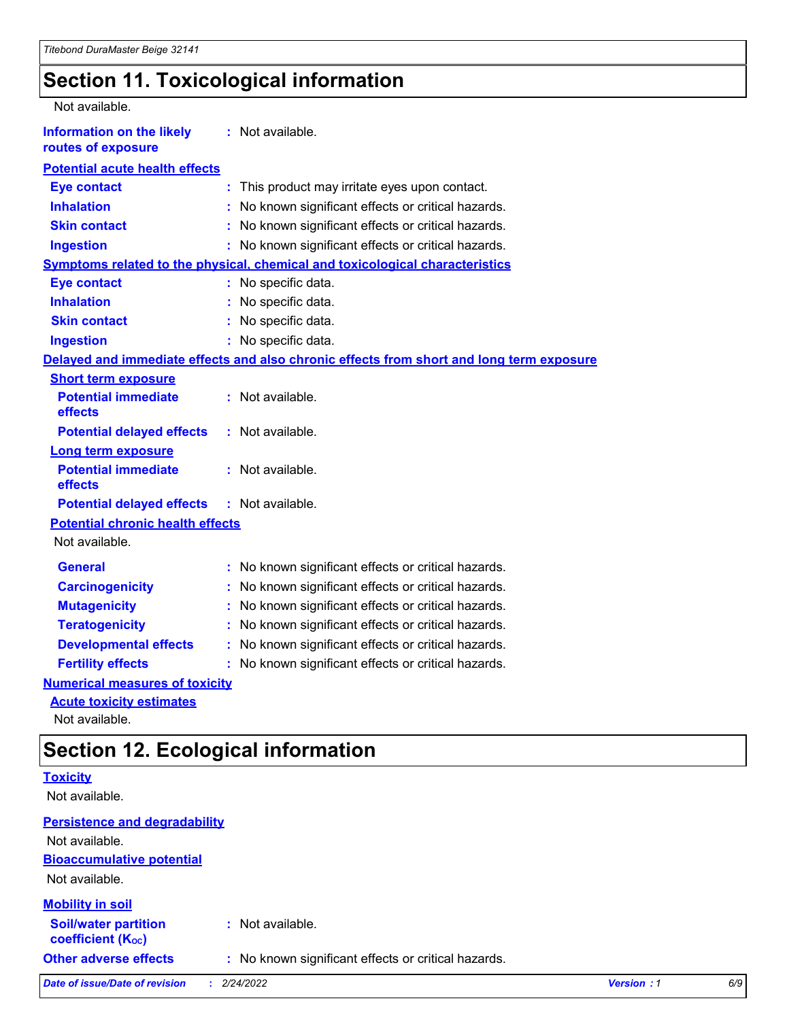# **Section 11. Toxicological information**

| Not available.                                         |                                                                                          |  |
|--------------------------------------------------------|------------------------------------------------------------------------------------------|--|
| <b>Information on the likely</b><br>routes of exposure | : Not available.                                                                         |  |
| <b>Potential acute health effects</b>                  |                                                                                          |  |
| <b>Eye contact</b>                                     | This product may irritate eyes upon contact.<br>÷.                                       |  |
| <b>Inhalation</b>                                      | No known significant effects or critical hazards.                                        |  |
| <b>Skin contact</b>                                    | No known significant effects or critical hazards.<br>t.                                  |  |
| <b>Ingestion</b>                                       | : No known significant effects or critical hazards.                                      |  |
|                                                        | Symptoms related to the physical, chemical and toxicological characteristics             |  |
| <b>Eye contact</b>                                     | : No specific data.                                                                      |  |
| <b>Inhalation</b>                                      | : No specific data.                                                                      |  |
| <b>Skin contact</b>                                    | : No specific data.                                                                      |  |
| <b>Ingestion</b>                                       | : No specific data.                                                                      |  |
|                                                        | Delayed and immediate effects and also chronic effects from short and long term exposure |  |
| <b>Short term exposure</b>                             |                                                                                          |  |
| <b>Potential immediate</b><br>effects                  | : Not available.                                                                         |  |
| <b>Potential delayed effects</b>                       | : Not available.                                                                         |  |
| <b>Long term exposure</b>                              |                                                                                          |  |
| <b>Potential immediate</b><br>effects                  | : Not available.                                                                         |  |
| <b>Potential delayed effects</b>                       | : Not available.                                                                         |  |
| <b>Potential chronic health effects</b>                |                                                                                          |  |
| Not available.                                         |                                                                                          |  |
| <b>General</b>                                         | : No known significant effects or critical hazards.                                      |  |
| <b>Carcinogenicity</b>                                 | No known significant effects or critical hazards.                                        |  |
| <b>Mutagenicity</b>                                    | No known significant effects or critical hazards.<br>t.                                  |  |
| <b>Teratogenicity</b>                                  | No known significant effects or critical hazards.                                        |  |
| <b>Developmental effects</b>                           | No known significant effects or critical hazards.                                        |  |
| <b>Fertility effects</b>                               | No known significant effects or critical hazards.                                        |  |
| <b>Numerical measures of toxicity</b>                  |                                                                                          |  |
| <b>Acute toxicity estimates</b>                        |                                                                                          |  |

Not available.

# **Section 12. Ecological information**

| --- -----------                                         |                                                     |                   |     |
|---------------------------------------------------------|-----------------------------------------------------|-------------------|-----|
| <b>Toxicity</b>                                         |                                                     |                   |     |
| Not available.                                          |                                                     |                   |     |
| <b>Persistence and degradability</b>                    |                                                     |                   |     |
| Not available.                                          |                                                     |                   |     |
| <b>Bioaccumulative potential</b>                        |                                                     |                   |     |
| Not available.                                          |                                                     |                   |     |
| <b>Mobility in soil</b>                                 |                                                     |                   |     |
| <b>Soil/water partition</b><br><b>coefficient (Koc)</b> | $:$ Not available.                                  |                   |     |
| <b>Other adverse effects</b>                            | : No known significant effects or critical hazards. |                   |     |
| <b>Date of issue/Date of revision</b>                   | 2/24/2022                                           | <b>Version: 1</b> | 6/9 |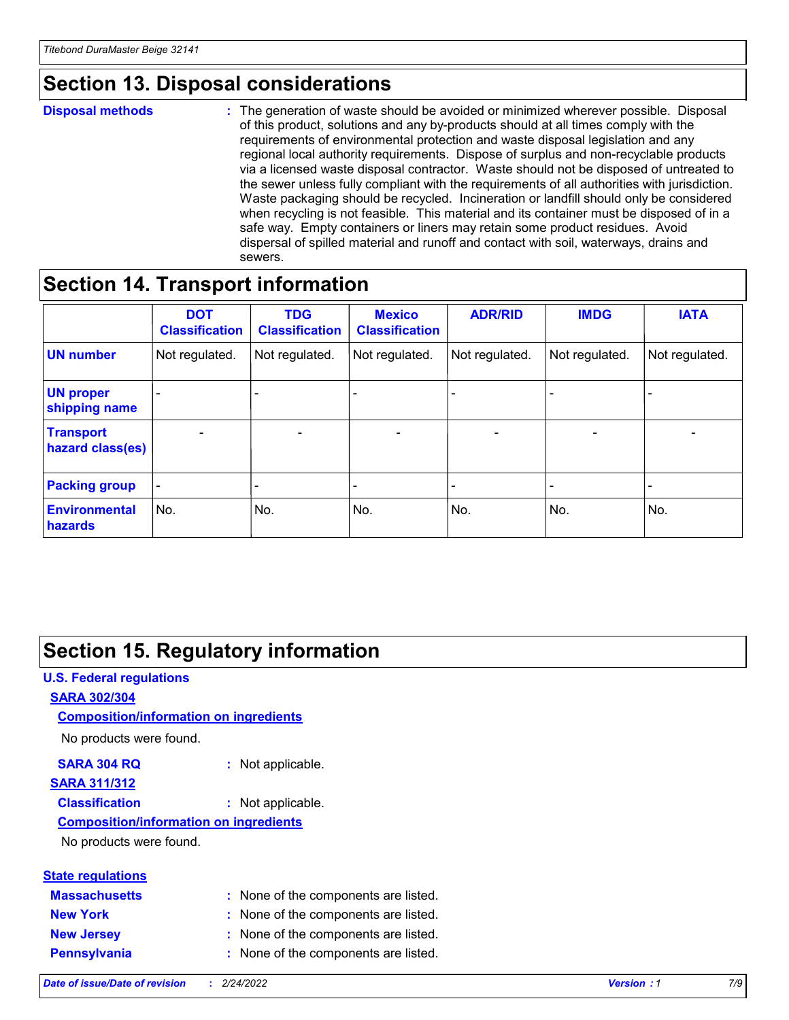# **Section 13. Disposal considerations**

#### **Disposal methods :**

The generation of waste should be avoided or minimized wherever possible. Disposal of this product, solutions and any by-products should at all times comply with the requirements of environmental protection and waste disposal legislation and any regional local authority requirements. Dispose of surplus and non-recyclable products via a licensed waste disposal contractor. Waste should not be disposed of untreated to the sewer unless fully compliant with the requirements of all authorities with jurisdiction. Waste packaging should be recycled. Incineration or landfill should only be considered when recycling is not feasible. This material and its container must be disposed of in a safe way. Empty containers or liners may retain some product residues. Avoid dispersal of spilled material and runoff and contact with soil, waterways, drains and sewers.

# **Section 14. Transport information**

|                                        | <b>DOT</b><br><b>Classification</b> | <b>TDG</b><br><b>Classification</b> | <b>Mexico</b><br><b>Classification</b> | <b>ADR/RID</b>           | <b>IMDG</b>              | <b>IATA</b>                  |
|----------------------------------------|-------------------------------------|-------------------------------------|----------------------------------------|--------------------------|--------------------------|------------------------------|
| <b>UN number</b>                       | Not regulated.                      | Not regulated.                      | Not regulated.                         | Not regulated.           | Not regulated.           | Not regulated.               |
| <b>UN proper</b><br>shipping name      | $\qquad \qquad -$                   |                                     |                                        |                          |                          | $\qquad \qquad \blacksquare$ |
| <b>Transport</b><br>hazard class(es)   | $\overline{\phantom{a}}$            | $\overline{\phantom{a}}$            | $\overline{\phantom{a}}$               | $\overline{\phantom{a}}$ | $\overline{\phantom{a}}$ | $\overline{\phantom{a}}$     |
| <b>Packing group</b>                   |                                     |                                     |                                        | -                        |                          | -                            |
| <b>Environmental</b><br><b>hazards</b> | No.                                 | No.                                 | No.                                    | No.                      | No.                      | No.                          |

# **Section 15. Regulatory information**

#### **U.S. Federal regulations SARA 302/304 Composition/information on ingredients**

No products were found.

#### **SARA 304 RQ :** Not applicable.

### **SARA 311/312**

**Classification :** Not applicable.

#### **Composition/information on ingredients**

No products were found.

# **State regulations**

| <b>Massachusetts</b> | : None of the components are listed. |
|----------------------|--------------------------------------|
| <b>New York</b>      | : None of the components are listed. |
| <b>New Jersey</b>    | : None of the components are listed. |
| Pennsylvania         | : None of the components are listed. |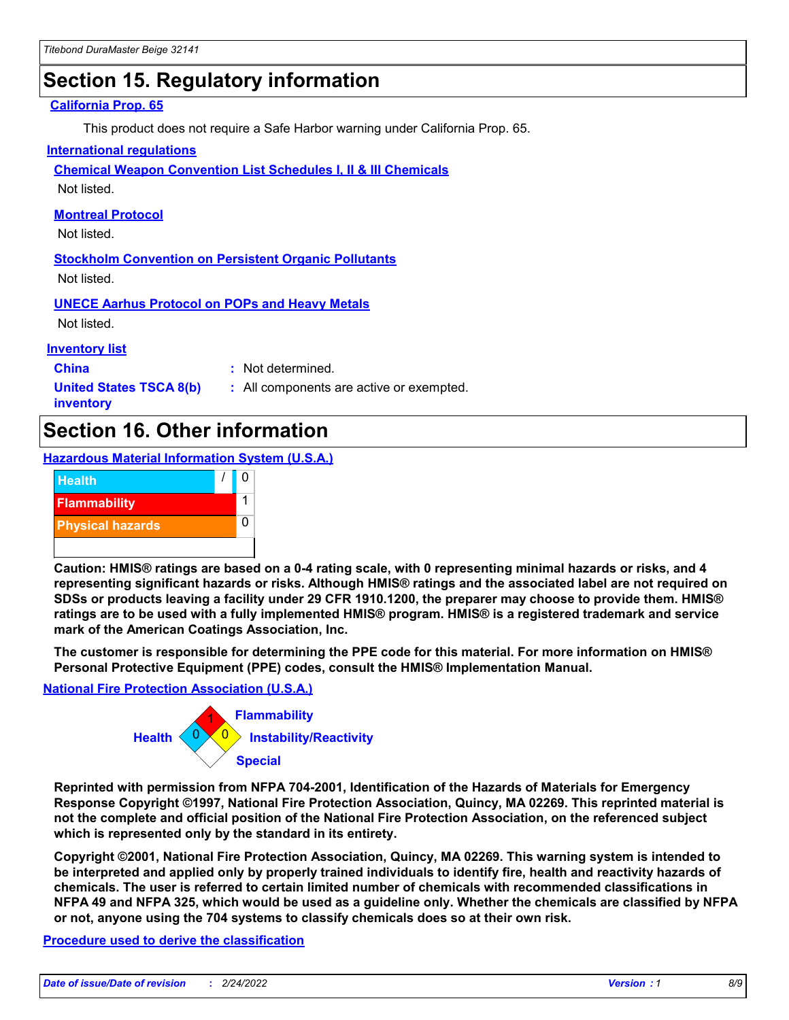# **Section 15. Regulatory information**

#### **California Prop. 65**

This product does not require a Safe Harbor warning under California Prop. 65.

#### **International regulations**

**Chemical Weapon Convention List Schedules I, II & III Chemicals**

Not listed.

#### **Montreal Protocol**

Not listed.

**Stockholm Convention on Persistent Organic Pollutants** Not listed.

**UNECE Aarhus Protocol on POPs and Heavy Metals**

Not listed.

#### **Inventory list**

**China :** Not determined.

**United States TSCA 8(b) inventory**

**:** All components are active or exempted.

# **Section 16. Other information**

**Hazardous Material Information System (U.S.A.)**



**Caution: HMIS® ratings are based on a 0-4 rating scale, with 0 representing minimal hazards or risks, and 4 representing significant hazards or risks. Although HMIS® ratings and the associated label are not required on SDSs or products leaving a facility under 29 CFR 1910.1200, the preparer may choose to provide them. HMIS® ratings are to be used with a fully implemented HMIS® program. HMIS® is a registered trademark and service mark of the American Coatings Association, Inc.**

**The customer is responsible for determining the PPE code for this material. For more information on HMIS® Personal Protective Equipment (PPE) codes, consult the HMIS® Implementation Manual.**

#### **National Fire Protection Association (U.S.A.)**



**Reprinted with permission from NFPA 704-2001, Identification of the Hazards of Materials for Emergency Response Copyright ©1997, National Fire Protection Association, Quincy, MA 02269. This reprinted material is not the complete and official position of the National Fire Protection Association, on the referenced subject which is represented only by the standard in its entirety.**

**Copyright ©2001, National Fire Protection Association, Quincy, MA 02269. This warning system is intended to be interpreted and applied only by properly trained individuals to identify fire, health and reactivity hazards of chemicals. The user is referred to certain limited number of chemicals with recommended classifications in NFPA 49 and NFPA 325, which would be used as a guideline only. Whether the chemicals are classified by NFPA or not, anyone using the 704 systems to classify chemicals does so at their own risk.**

#### **Procedure used to derive the classification**